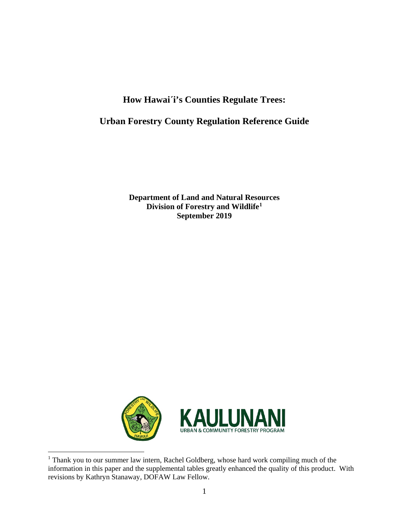# **How Hawai´i's Counties Regulate Trees:**

# **Urban Forestry County Regulation Reference Guide**

**Department of Land and Natural Resources Division of Forestry and Wildlife[1](#page-0-0) September 2019**



<span id="page-0-0"></span>

<sup>&</sup>lt;sup>1</sup> Thank you to our summer law intern, Rachel Goldberg, whose hard work compiling much of the information in this paper and the supplemental tables greatly enhanced the quality of this product. With revisions by Kathryn Stanaway, DOFAW Law Fellow.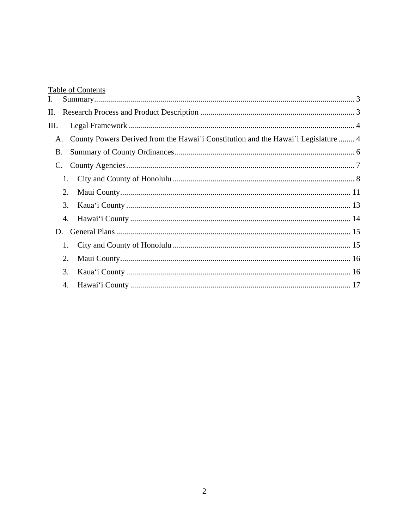# **Table of Contents**

| I.        |    |                                                                                    |  |
|-----------|----|------------------------------------------------------------------------------------|--|
| П.        |    |                                                                                    |  |
| Ш.        |    |                                                                                    |  |
| A.        |    | County Powers Derived from the Hawai'i Constitution and the Hawai'i Legislature  4 |  |
| <b>B.</b> |    |                                                                                    |  |
| C.        |    |                                                                                    |  |
|           | 1. |                                                                                    |  |
|           | 2. |                                                                                    |  |
|           | 3. |                                                                                    |  |
|           | 4. |                                                                                    |  |
| D.        |    |                                                                                    |  |
|           | 1. |                                                                                    |  |
|           | 2. |                                                                                    |  |
|           | 3. |                                                                                    |  |
|           | 4. |                                                                                    |  |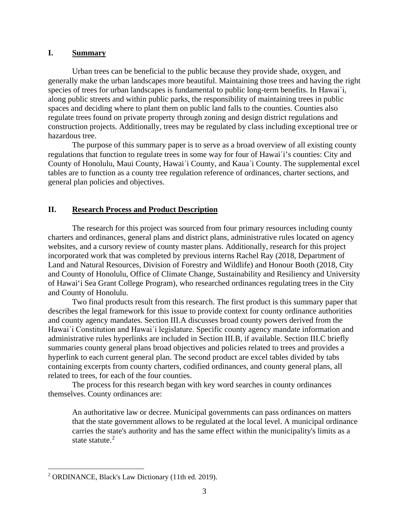#### <span id="page-2-0"></span>**I. Summary**

Urban trees can be beneficial to the public because they provide shade, oxygen, and generally make the urban landscapes more beautiful. Maintaining those trees and having the right species of trees for urban landscapes is fundamental to public long-term benefits. In Hawai´i, along public streets and within public parks, the responsibility of maintaining trees in public spaces and deciding where to plant them on public land falls to the counties. Counties also regulate trees found on private property through zoning and design district regulations and construction projects. Additionally, trees may be regulated by class including exceptional tree or hazardous tree.

The purpose of this summary paper is to serve as a broad overview of all existing county regulations that function to regulate trees in some way for four of Hawai´i's counties: City and County of Honolulu, Maui County, Hawai´i County, and Kaua´i County. The supplemental excel tables are to function as a county tree regulation reference of ordinances, charter sections, and general plan policies and objectives.

## <span id="page-2-1"></span>**II. Research Process and Product Description**

The research for this project was sourced from four primary resources including county charters and ordinances, general plans and district plans, administrative rules located on agency websites, and a cursory review of county master plans. Additionally, research for this project incorporated work that was completed by previous interns Rachel Ray (2018, Department of Land and Natural Resources, Division of Forestry and Wildlife) and Honour Booth (2018, City and County of Honolulu, Office of Climate Change, Sustainability and Resiliency and University of Hawai'i Sea Grant College Program), who researched ordinances regulating trees in the City and County of Honolulu.

Two final products result from this research. The first product is this summary paper that describes the legal framework for this issue to provide context for county ordinance authorities and county agency mandates. Section III.A discusses broad county powers derived from the Hawai´i Constitution and Hawai´i legislature. Specific county agency mandate information and administrative rules hyperlinks are included in Section III.B, if available. Section III.C briefly summaries county general plans broad objectives and policies related to trees and provides a hyperlink to each current general plan. The second product are excel tables divided by tabs containing excerpts from county charters, codified ordinances, and county general plans, all related to trees, for each of the four counties.

The process for this research began with key word searches in county ordinances themselves. County ordinances are:

An authoritative law or decree. Municipal governments can pass ordinances on matters that the state government allows to be regulated at the local level. A municipal ordinance carries the state's authority and has the same effect within the municipality's limits as a state statute.<sup>[2](#page-2-2)</sup>

<span id="page-2-2"></span> <sup>2</sup> ORDINANCE, Black's Law Dictionary (11th ed. 2019).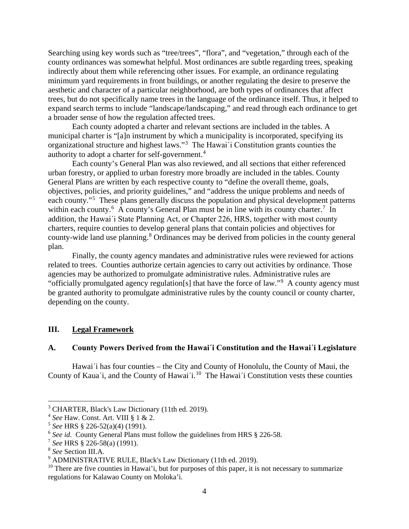Searching using key words such as "tree/trees", "flora", and "vegetation," through each of the county ordinances was somewhat helpful. Most ordinances are subtle regarding trees, speaking indirectly about them while referencing other issues. For example, an ordinance regulating minimum yard requirements in front buildings, or another regulating the desire to preserve the aesthetic and character of a particular neighborhood, are both types of ordinances that affect trees, but do not specifically name trees in the language of the ordinance itself. Thus, it helped to expand search terms to include "landscape/landscaping," and read through each ordinance to get a broader sense of how the regulation affected trees.

Each county adopted a charter and relevant sections are included in the tables. A municipal charter is "[a]n instrument by which a municipality is incorporated, specifying its organizational structure and highest laws."<sup>[3](#page-3-2)</sup> The Hawai'i Constitution grants counties the authority to adopt a charter for self-government.[4](#page-3-3)

Each county's General Plan was also reviewed, and all sections that either referenced urban forestry, or applied to urban forestry more broadly are included in the tables. County General Plans are written by each respective county to "define the overall theme, goals, objectives, policies, and priority guidelines," and "address the unique problems and needs of each county."<sup>[5](#page-3-4)</sup> These plans generally discuss the population and physical development patterns within each county.<sup>[6](#page-3-5)</sup> A county's General Plan must be in line with its county charter.<sup>[7](#page-3-6)</sup> In addition, the Hawai´i State Planning Act, or Chapter 226, HRS, together with most county charters, require counties to develop general plans that contain policies and objectives for county-wide land use planning.[8](#page-3-7) Ordinances may be derived from policies in the county general plan.

Finally, the county agency mandates and administrative rules were reviewed for actions related to trees. Counties authorize certain agencies to carry out activities by ordinance. Those agencies may be authorized to promulgate administrative rules. Administrative rules are "officially promulgated agency regulation[s] that have the force of law."<sup>[9](#page-3-8)</sup> A county agency must be granted authority to promulgate administrative rules by the county council or county charter, depending on the county.

#### <span id="page-3-0"></span>**III. Legal Framework**

#### <span id="page-3-1"></span>**A. County Powers Derived from the Hawai´i Constitution and the Hawai´i Legislature**

Hawai´i has four counties – the City and County of Honolulu, the County of Maui, the County of Kaua'i, and the County of Hawai'i.<sup>[10](#page-3-9)</sup> The Hawai'i Constitution vests these counties

<span id="page-3-2"></span> <sup>3</sup> CHARTER, Black's Law Dictionary (11th ed. 2019).

<span id="page-3-3"></span><sup>4</sup> *See* Haw. Const. Art. VIII § 1 & 2.

<span id="page-3-4"></span><sup>5</sup> *See* HRS § 226-52(a)(4) (1991).

<span id="page-3-5"></span><sup>6</sup> *See id*. County General Plans must follow the guidelines from HRS § 226-58.

<span id="page-3-6"></span><sup>7</sup> *See* HRS § 226-58(a) (1991).

<span id="page-3-7"></span><sup>8</sup> *See* Section III.A.

<span id="page-3-8"></span><sup>9</sup> ADMINISTRATIVE RULE, Black's Law Dictionary (11th ed. 2019).

<span id="page-3-9"></span> $10$  There are five counties in Hawai'i, but for purposes of this paper, it is not necessary to summarize regulations for Kalawao County on Moloka'i.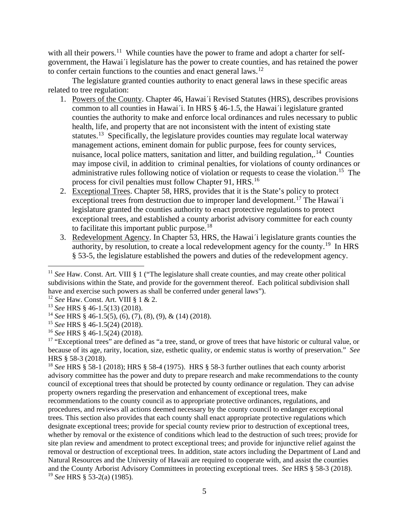with all their powers.<sup>11</sup> While counties have the power to frame and adopt a charter for selfgovernment, the Hawai´i legislature has the power to create counties, and has retained the power to confer certain functions to the counties and enact general laws.[12](#page-4-1)

The legislature granted counties authority to enact general laws in these specific areas related to tree regulation:

- 1. Powers of the County. Chapter 46, Hawai´i Revised Statutes (HRS), describes provisions common to all counties in Hawai´i. In HRS § 46-1.5, the Hawai´i legislature granted counties the authority to make and enforce local ordinances and rules necessary to public health, life, and property that are not inconsistent with the intent of existing state statutes.<sup>13</sup> Specifically, the legislature provides counties may regulate local waterway management actions, eminent domain for public purpose, fees for county services, nuisance, local police matters, sanitation and litter, and building regulation,  $14$  Counties may impose civil, in addition to criminal penalties, for violations of county ordinances or administrative rules following notice of violation or requests to cease the violation.<sup>[15](#page-4-4)</sup> The process for civil penalties must follow Chapter 91, HRS.<sup>[16](#page-4-5)</sup>
- 2. Exceptional Trees. Chapter 58, HRS, provides that it is the State's policy to protect exceptional trees from destruction due to improper land development.<sup>[17](#page-4-6)</sup> The Hawai<sup>'</sup>i legislature granted the counties authority to enact protective regulations to protect exceptional trees, and established a county arborist advisory committee for each county to facilitate this important public purpose. $18$
- 3. Redevelopment Agency. In Chapter 53, HRS, the Hawai´i legislature grants counties the authority, by resolution, to create a local redevelopment agency for the county.<sup>[19](#page-4-8)</sup> In HRS § 53-5, the legislature established the powers and duties of the redevelopment agency.

<span id="page-4-8"></span>recommendations to the county council as to appropriate protective ordinances, regulations, and procedures, and reviews all actions deemed necessary by the county council to endanger exceptional trees. This section also provides that each county shall enact appropriate protective regulations which designate exceptional trees; provide for special county review prior to destruction of exceptional trees, whether by removal or the existence of conditions which lead to the destruction of such trees; provide for site plan review and amendment to protect exceptional trees; and provide for injunctive relief against the removal or destruction of exceptional trees. In addition, state actors including the Department of Land and Natural Resources and the University of Hawaii are required to cooperate with, and assist the counties and the County Arborist Advisory Committees in protecting exceptional trees. *See* HRS § 58-3 (2018). <sup>19</sup> *See* HRS § 53-2(a) (1985).

<span id="page-4-0"></span><sup>&</sup>lt;sup>11</sup> *See* Haw. Const. Art. VIII § 1 ("The legislature shall create counties, and may create other political subdivisions within the State, and provide for the government thereof. Each political subdivision shall have and exercise such powers as shall be conferred under general laws").

<span id="page-4-1"></span><sup>12</sup> *See* Haw. Const. Art. VIII § 1 & 2.

<span id="page-4-2"></span><sup>13</sup> *See* HRS § 46-1.5(13) (2018).

<span id="page-4-3"></span><sup>14</sup> *See* HRS § 46-1.5(5), (6), (7), (8), (9), & (14) (2018).

<span id="page-4-4"></span><sup>15</sup> *See* HRS § 46-1.5(24) (2018).

<span id="page-4-5"></span><sup>16</sup> *See* HRS § 46-1.5(24) (2018).

<span id="page-4-6"></span><sup>&</sup>lt;sup>17</sup> "Exceptional trees" are defined as "a tree, stand, or grove of trees that have historic or cultural value, or because of its age, rarity, location, size, esthetic quality, or endemic status is worthy of preservation." *See*  HRS § 58-3 (2018).

<span id="page-4-7"></span><sup>18</sup> *See* HRS § 58-1 (2018); HRS § 58-4 (1975). HRS § 58-3 further outlines that each county arborist advisory committee has the power and duty to prepare research and make recommendations to the county council of exceptional trees that should be protected by county ordinance or regulation. They can advise property owners regarding the preservation and enhancement of exceptional trees, make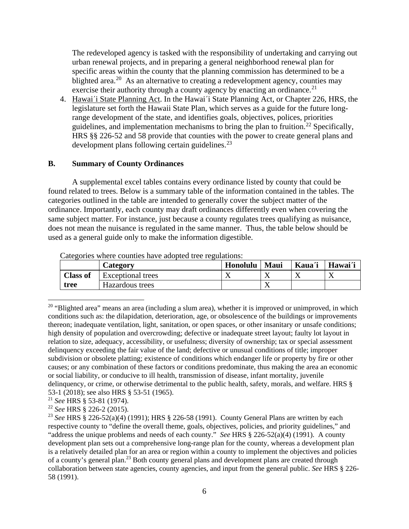The redeveloped agency is tasked with the responsibility of undertaking and carrying out urban renewal projects, and in preparing a general neighborhood renewal plan for specific areas within the county that the planning commission has determined to be a blighted area.<sup>20</sup> As an alternative to creating a redevelopment agency, counties may exercise their authority through a county agency by enacting an ordinance.<sup>[21](#page-5-2)</sup>

4. Hawai'i State Planning Act. In the Hawai'i State Planning Act, or Chapter 226, HRS, the legislature set forth the Hawaii State Plan, which serves as a guide for the future longrange development of the state, and identifies goals, objectives, polices, priorities guidelines, and implementation mechanisms to bring the plan to fruition.<sup>[22](#page-5-3)</sup> Specifically, HRS §§ 226-52 and 58 provide that counties with the power to create general plans and development plans following certain guidelines.<sup>[23](#page-5-4)</sup>

#### <span id="page-5-0"></span>**B. Summary of County Ordinances**

A supplemental excel tables contains every ordinance listed by county that could be found related to trees. Below is a summary table of the information contained in the tables. The categories outlined in the table are intended to generally cover the subject matter of the ordinance. Importantly, each county may draft ordinances differently even when covering the same subject matter. For instance, just because a county regulates trees qualifying as nuisance, does not mean the nuisance is regulated in the same manner. Thus, the table below should be used as a general guide only to make the information digestible.

|                 | Category          | Honolulu | <b>Maui</b> | Kaua'i | Hawai'i |
|-----------------|-------------------|----------|-------------|--------|---------|
| <b>Class of</b> | Exceptional trees |          |             |        |         |
| tree            | Hazardous trees   |          |             |        |         |

Categories where counties have adopted tree regulations:

<span id="page-5-3"></span><sup>22</sup> *See* HRS § 226-2 (2015).

<span id="page-5-1"></span><sup>&</sup>lt;sup>20</sup> "Blighted area" means an area (including a slum area), whether it is improved or unimproved, in which conditions such as: the dilapidation, deterioration, age, or obsolescence of the buildings or improvements thereon; inadequate ventilation, light, sanitation, or open spaces, or other insanitary or unsafe conditions; high density of population and overcrowding; defective or inadequate street layout; faulty lot layout in relation to size, adequacy, accessibility, or usefulness; diversity of ownership; tax or special assessment delinquency exceeding the fair value of the land; defective or unusual conditions of title; improper subdivision or obsolete platting; existence of conditions which endanger life or property by fire or other causes; or any combination of these factors or conditions predominate, thus making the area an economic or social liability, or conducive to ill health, transmission of disease, infant mortality, juvenile delinquency, or crime, or otherwise detrimental to the public health, safety, morals, and welfare. HRS § 53-1 (2018); see also HRS § 53-51 (1965).

<span id="page-5-2"></span><sup>21</sup> *See* HRS § 53-81 (1974).

<span id="page-5-4"></span><sup>23</sup> *See* HRS § 226-52(a)(4) (1991); HRS § 226-58 (1991). County General Plans are written by each respective county to "define the overall theme, goals, objectives, policies, and priority guidelines," and "address the unique problems and needs of each county." *See* HRS § 226-52(a)(4) (1991). A county development plan sets out a comprehensive long-range plan for the county, whereas a development plan is a relatively detailed plan for an area or region within a county to implement the objectives and policies of a county's general plan.<sup>23</sup> Both county general plans and development plans are created through collaboration between state agencies, county agencies, and input from the general public. *See* HRS § 226- 58 (1991).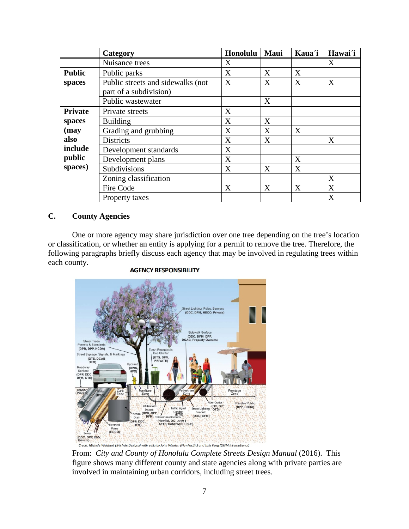|                | Category                                                    | Honolulu | Maui | Kaua'i | Hawai'i |
|----------------|-------------------------------------------------------------|----------|------|--------|---------|
|                | Nuisance trees                                              | X        |      |        | X       |
| <b>Public</b>  | Public parks                                                | X        | X    | X      |         |
| spaces         | Public streets and sidewalks (not<br>part of a subdivision) | X        | X    | X      | X       |
|                | Public wastewater                                           |          | X    |        |         |
| <b>Private</b> | Private streets                                             | X        |      |        |         |
| spaces         | <b>Building</b>                                             | X        | X    |        |         |
| (may           | Grading and grubbing                                        | X        | X    | X      |         |
| also           | <b>Districts</b>                                            | X        | X    |        | X       |
| include        | Development standards                                       | X        |      |        |         |
| public         | Development plans                                           | X        |      | X      |         |
| spaces)        | Subdivisions                                                | X        | X    | X      |         |
|                | Zoning classification                                       |          |      |        | X       |
|                | Fire Code                                                   | X        | X    | X      | X       |
|                | Property taxes                                              |          |      |        | X       |

## <span id="page-6-0"></span>**C. County Agencies**

One or more agency may share jurisdiction over one tree depending on the tree's location or classification, or whether an entity is applying for a permit to remove the tree. Therefore, the following paragraphs briefly discuss each agency that may be involved in regulating trees within each county.



#### **AGENCY RESPONSIBILITY**

From: *City and County of Honolulu Complete Streets Design Manual* (2016). This figure shows many different county and state agencies along with private parties are involved in maintaining urban corridors, including street trees.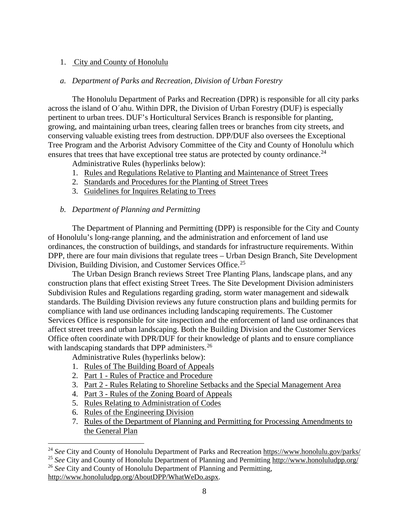## <span id="page-7-0"></span>1. City and County of Honolulu

## *a. Department of Parks and Recreation, Division of Urban Forestry*

The Honolulu Department of Parks and Recreation (DPR) is responsible for all city parks across the island of O´ahu. Within DPR, the Division of Urban Forestry (DUF) is especially pertinent to urban trees. DUF's Horticultural Services Branch is responsible for planting, growing, and maintaining urban trees, clearing fallen trees or branches from city streets, and conserving valuable existing trees from destruction. DPP/DUF also oversees the Exceptional Tree Program and the Arborist Advisory Committee of the City and County of Honolulu which ensures that trees that have exceptional tree status are protected by county ordinance.<sup>[24](#page-7-1)</sup>

Administrative Rules (hyperlinks below):

- 1. [Rules and Regulations Relative to Planting and Maintenance of Street Trees](https://www.honolulu.gov/rep/site/dpr/rules/Rules_Trees_Street.pdf)
- 2. [Standards and Procedures for the Planting of Street Trees](http://www.honoluludpp.org/Portals/0/pdfs/zoning/StreetTreeStandards.pdf)
- 3. [Guidelines for Inquires Relating to Trees](https://www.honolulu.gov/rep/site/dpr/duf_docs/guidelinesfortreeinquiries072011.pdf)

## *b. Department of Planning and Permitting*

The Department of Planning and Permitting (DPP) is responsible for the City and County of Honolulu's long-range planning, and the administration and enforcement of land use ordinances, the construction of buildings, and standards for infrastructure requirements. Within DPP, there are four main divisions that regulate trees – Urban Design Branch, Site Development Division, Building Division, and Customer Services Office.<sup>[25](#page-7-2)</sup>

The Urban Design Branch reviews Street Tree Planting Plans, landscape plans, and any construction plans that effect existing Street Trees. The Site Development Division administers Subdivision Rules and Regulations regarding grading, storm water management and sidewalk standards. The Building Division reviews any future construction plans and building permits for compliance with land use ordinances including landscaping requirements. The Customer Services Office is responsible for site inspection and the enforcement of land use ordinances that affect street trees and urban landscaping. Both the Building Division and the Customer Services Office often coordinate with DPR/DUF for their knowledge of plants and to ensure compliance with landscaping standards that DPP administers.<sup>[26](#page-7-3)</sup>

Administrative Rules (hyperlinks below):

- 1. Rules of The [Building](http://www.honoluludpp.org/Portals/0/AboutDPP/administrativerules/DppRules01BBA.pdf) Board of Appeals
- 2. Part 1 Rules of Practice and [Procedure](http://www.honoluludpp.org/Portals/0/AboutDPP/administrativerules/DppRules02PracticeProcd.pdf)
- 3. Part 2 Rules Relating to Shoreline Setbacks and the Special [Management](http://www.honoluludpp.org/Portals/0/AboutDPP/administrativerules/DppRules03Shoreline.pdf) Area
- 4. Part 3 Rules of the Zoning Board of [Appeals](http://www.honoluludpp.org/Portals/0/AboutDPP/administrativerules/DppRules04ZBA.pdf)
- 5. Rules Relating to [Administration](http://www.honoluludpp.org/Portals/0/AboutDPP/administrativerules/DppRules05AdminCode.pdf) of Codes
- 6. Rules of the [Engineering](http://www.honoluludpp.org/Portals/0/AboutDPP/administrativerules/DppRules06Engineering.pdf) Division
- 7. Rules of the Department of Planning and Permitting for Processing [Amendments](http://www.honoluludpp.org/Portals/0/AboutDPP/administrativerules/DppRules07GPlan.pdf) to the [General](http://www.honoluludpp.org/Portals/0/AboutDPP/administrativerules/DppRules07GPlan.pdf) Plan

<span id="page-7-1"></span> <sup>24</sup> *See* City and County of Honolulu Department of Parks and Recreation<https://www.honolulu.gov/parks/>

<span id="page-7-3"></span><span id="page-7-2"></span><sup>&</sup>lt;sup>25</sup> See City and County of Honolulu Department of Planning and Permittin[g http://www.honoluludpp.org/](http://www.honoluludpp.org/) <sup>26</sup> *See* City and County of Honolulu Department of Planning and Permitting, [http://www.honoluludpp.org/AboutDPP/WhatWeDo.aspx.](http://www.honoluludpp.org/AboutDPP/WhatWeDo.aspx)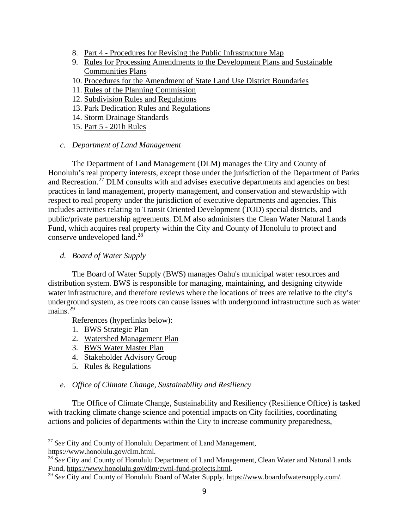- 8. Part 4 Procedures for Revising the Public [Infrastructure](http://www.honoluludpp.org/Portals/0/AboutDPP/administrativerules/DppRules08Part4.pdf) Map
- 9. Rules for Processing Amendments to the [Development](http://www.honoluludpp.org/Portals/0/AboutDPP/administrativerules/DppRules08Amendments.pdf) Plans and Sustainable [Communities](http://www.honoluludpp.org/Portals/0/AboutDPP/administrativerules/DppRules08Amendments.pdf) Plans
- 10. Procedures for the [Amendment](http://www.honoluludpp.org/Portals/0/AboutDPP/administrativerules/DppRules09StateLandUse.pdf) of State Land Use District Boundaries
- 11. Rules of the Planning [Commission](http://www.honoluludpp.org/Portals/0/AboutDPP/administrativerules/DppRules11PlanningC.pdf)
- 12. [Subdivision](http://www.honoluludpp.org/Portals/0/AboutDPP/administrativerules/DppRules12Subdivisions.pdf) Rules and Regulations
- 13. Park Dedication Rules and [Regulations](http://www.honoluludpp.org/Portals/0/AboutDPP/administrativerules/Park%20Dedication%20Rules_%20Regs.pdf)
- 14. Storm Drainage [Standards](http://www.honoluludpp.org/Portals/0/AboutDPP/administrativerules/Final%20Storm%20Drainage%20Standards%20August%202017.pdf)
- 15. Part 5 201h [Rules](http://www.honoluludpp.org/Portals/0/AboutDPP/administrativerules/201H%20Rules.pdf)

## *c. Department of Land Management*

The Department of Land Management (DLM) manages the City and County of Honolulu's real property interests, except those under the jurisdiction of the Department of Parks and Recreation.<sup>[27](#page-8-0)</sup> DLM consults with and advises executive departments and agencies on best practices in land management, property management, and conservation and stewardship with respect to real property under the jurisdiction of executive departments and agencies. This includes activities relating to Transit Oriented Development (TOD) special districts, and public/private partnership agreements. DLM also administers the Clean Water Natural Lands Fund, which acquires real property within the City and County of Honolulu to protect and conserve undeveloped land.[28](#page-8-1)

## *d. Board of Water Supply*

The Board of Water Supply (BWS) manages Oahu's municipal water resources and distribution system. BWS is responsible for managing, maintaining, and designing citywide water infrastructure, and therefore reviews where the locations of trees are relative to the city's underground system, as tree roots can cause issues with underground infrastructure such as water mains. $^{29}$  $^{29}$  $^{29}$ 

References (hyperlinks below):

- 1. [BWS Strategic Plan](https://www.boardofwatersupply.com/about-us/bws-strategic-plan)
- 2. [Watershed Management Plan](https://www.boardofwatersupply.com/water-resources/watershed-management-plan)
- 3. BWS [Water Master Plan](https://www.boardofwatersupply.com/water-resources/water-master-plan)
- 4. [Stakeholder Advisory Group](https://www.boardofwatersupply.com/water-resources/water-master-plan/stakeholder-advisory-group)
- 5. [Rules & Regulations](https://www.boardofwatersupply.com/about-us/rules-and-regulations)

## *e. Office of Climate Change, Sustainability and Resiliency*

The Office of Climate Change, Sustainability and Resiliency (Resilience Office) is tasked with tracking climate change science and potential impacts on City facilities, coordinating actions and policies of departments within the City to increase community preparedness,

<span id="page-8-0"></span> <sup>27</sup> *See* City and County of Honolulu Department of Land Management, [https://www.honolulu.gov/dlm.html.](https://www.honolulu.gov/dlm.html)

<span id="page-8-1"></span><sup>&</sup>lt;sup>28</sup> *See* City and County of Honolulu Department of Land Management, Clean Water and Natural Lands<br>Fund, https://www.honolulu.gov/dlm/cwnl-fund-projects.html.

<span id="page-8-2"></span><sup>&</sup>lt;sup>29</sup> See City and County of Honolulu Board of Water Supply, [https://www.boardofwatersupply.com/.](https://www.boardofwatersupply.com/)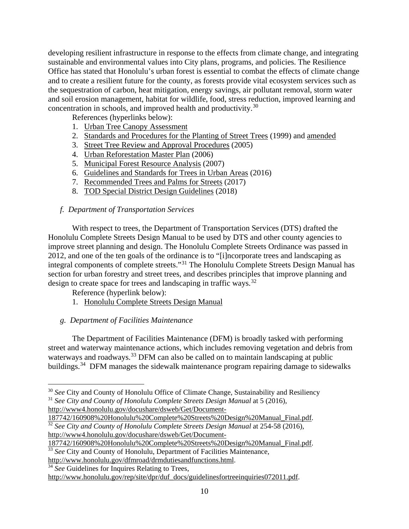developing resilient infrastructure in response to the effects from climate change, and integrating sustainable and environmental values into City plans, programs, and policies. The Resilience Office has stated that Honolulu's urban forest is essential to combat the effects of climate change and to create a resilient future for the county, as forests provide vital ecosystem services such as the sequestration of carbon, heat mitigation, energy savings, air pollutant removal, storm water and soil erosion management, habitat for wildlife, food, stress reduction, improved learning and concentration in schools, and improved health and productivity.[30](#page-9-0)

References (hyperlinks below):

- 1. [Urban Tree Canopy Assessment](http://www.smarttreespacific.org/projects/honolulu-urban-tree-canopy-assessment/)
- 2. [Standards and Procedures for the](http://www.honoluludpp.org/Portals/0/pdfs/engineering/StreetTreeStandards.pdf) Planting of Street Trees (1999) and [amended](https://www.resilientoahu.org/s/Hnl-Standards-and-Procedures-for-the-Planting-of-Street-Trees.pdf)
- 3. [Street Tree Review and Approval Procedures](http://www.honoluludpp.org/Portals/0/pdfs/engineering/StreetTreeReview.pdf) (2005)
- 4. [Urban Reforestation Master Plan](https://www.resilientoahu.org/s/Hnl-Reforestation-Master-Plan-2006.pdf) (2006)
- 5. [Municipal Forest Resource Analysis](https://www.resilientoahu.org/s/Hnl-Municipal-Forest-Resource-Analysis-2007.pdf) (2007)
- 6. [Guidelines and Standards for](https://www.resilientoahu.org/s/Hnl-Guidelines-and-Standards-for-Trees-in-Urban-Areas-Amended-2016.pdf) Trees in Urban Areas (2016)
- 7. [Recommended Trees and Palms for Streets](https://www.resilientoahu.org/s/Hnl-Recommended-Trees-and-Palms-for-Streets-2017.pdf) (2017)
- 8. [TOD Special District Design Guidelines](http://www.honoluludpp.org/Portals/0/pdfs/zoning/TOD%20Guidelines%208-29-18.pdf) (2018)

## *f. Department of Transportation Services*

With respect to trees, the Department of Transportation Services (DTS) drafted the Honolulu Complete Streets Design Manual to be used by DTS and other county agencies to improve street planning and design. The Honolulu Complete Streets Ordinance was passed in 2012, and one of the ten goals of the ordinance is to "[i]ncorporate trees and landscaping as integral components of complete streets."[31](#page-9-1) The Honolulu Complete Streets Design Manual has section for urban forestry and street trees, and describes principles that improve planning and design to create space for trees and landscaping in traffic ways.<sup>[32](#page-9-2)</sup>

Reference (hyperlink below):

1. [Honolulu Complete Streets Design Manual](http://www4.honolulu.gov/docushare/dsweb/Get/Document-187742/160908%20Honolulu%20Complete%20Streets%20Design%20Manual_Final.pdf)

## *g. Department of Facilities Maintenance*

The Department of Facilities Maintenance (DFM) is broadly tasked with performing street and waterway maintenance actions, which includes removing vegetation and debris from waterways and roadways.<sup>[33](#page-9-3)</sup> DFM can also be called on to maintain landscaping at public buildings.<sup>[34](#page-9-4)</sup> DFM manages the sidewalk maintenance program repairing damage to sidewalks

<span id="page-9-0"></span><sup>&</sup>lt;sup>30</sup> See City and County of Honolulu Office of Climate Change, Sustainability and Resiliency <sup>31</sup> *See City and County of Honolulu Complete Streets Design Manual* at 5 (2016),

<span id="page-9-1"></span>[http://www4.honolulu.gov/docushare/dsweb/Get/Document-](http://www4.honolulu.gov/docushare/dsweb/Get/Document-187742/160908%20Honolulu%20Complete%20Streets%20Design%20Manual_Final.pdf)

<span id="page-9-2"></span>[<sup>187742/160908%20</sup>Honolulu%20Complete%20Streets%20Design%20Manual\\_Final.pdf.](http://www4.honolulu.gov/docushare/dsweb/Get/Document-187742/160908%20Honolulu%20Complete%20Streets%20Design%20Manual_Final.pdf) <sup>32</sup> *See City and County of Honolulu Complete Streets Design Manual* at 254-58 (2016), [http://www4.honolulu.gov/docushare/dsweb/Get/Document-](http://www4.honolulu.gov/docushare/dsweb/Get/Document-187742/160908%20Honolulu%20Complete%20Streets%20Design%20Manual_Final.pdf)

[<sup>187742/160908%20</sup>Honolulu%20Complete%20Streets%20Design%20Manual\\_Final.pdf.](http://www4.honolulu.gov/docushare/dsweb/Get/Document-187742/160908%20Honolulu%20Complete%20Streets%20Design%20Manual_Final.pdf)

<span id="page-9-3"></span><sup>&</sup>lt;sup>33</sup> See City and County of Honolulu, Department of Facilities Maintenance,

[http://www.honolulu.gov/dfmroad/drmdutiesandfunctions.html.](http://www.honolulu.gov/dfmroad/drmdutiesandfunctions.html)

<span id="page-9-4"></span><sup>&</sup>lt;sup>34</sup> *See* Guidelines for Inquires Relating to Trees,

[http://www.honolulu.gov/rep/site/dpr/duf\\_docs/guidelinesfortreeinquiries072011.pdf.](http://www.honolulu.gov/rep/site/dpr/duf_docs/guidelinesfortreeinquiries072011.pdf)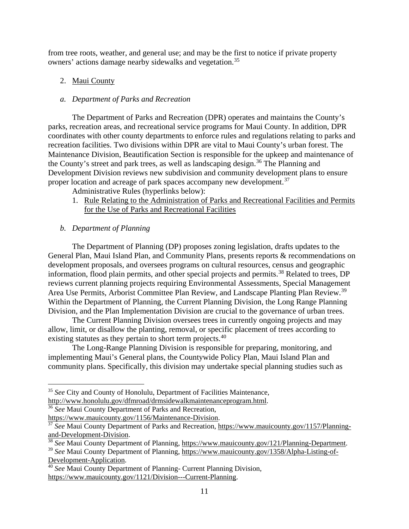from tree roots, weather, and general use; and may be the first to notice if private property owners' actions damage nearby sidewalks and vegetation.<sup>[35](#page-10-1)</sup>

# <span id="page-10-0"></span>2. Maui County

## *a. Department of Parks and Recreation*

The Department of Parks and Recreation (DPR) operates and maintains the County's parks, recreation areas, and recreational service programs for Maui County. In addition, DPR coordinates with other county departments to enforce rules and regulations relating to parks and recreation facilities. Two divisions within DPR are vital to Maui County's urban forest. The Maintenance Division, Beautification Section is responsible for the upkeep and maintenance of the County's street and park trees, as well as landscaping design.<sup>[36](#page-10-2)</sup> The Planning and Development Division reviews new subdivision and community development plans to ensure proper location and acreage of park spaces accompany new development.<sup>[37](#page-10-3)</sup>

Administrative Rules (hyperlinks below):

1. [Rule Relating to the Administration of Parks and Recreational Facilities and Permits](https://www.mauicounty.gov/DocumentCenter/View/107334/Permit-Admin-Rules?bidId=)  [for the Use of Parks and Recreational Facilities](https://www.mauicounty.gov/DocumentCenter/View/107334/Permit-Admin-Rules?bidId=)

# *b. Department of Planning*

The Department of Planning (DP) proposes zoning legislation, drafts updates to the General Plan, Maui Island Plan, and Community Plans, presents reports & recommendations on development proposals, and oversees programs on cultural resources, census and geographic information, flood plain permits, and other special projects and permits. [38](#page-10-4) Related to trees, DP reviews current planning projects requiring Environmental Assessments, Special Management Area Use Permits, Arborist Committee Plan Review, and Landscape Planting Plan Review.<sup>[39](#page-10-5)</sup> Within the Department of Planning, the Current Planning Division, the Long Range Planning Division, and the Plan Implementation Division are crucial to the governance of urban trees.

The Current Planning Division oversees trees in currently ongoing projects and may allow, limit, or disallow the planting, removal, or specific placement of trees according to existing statutes as they pertain to short term projects.<sup>[40](#page-10-6)</sup>

The Long-Range Planning Division is responsible for preparing, monitoring, and implementing Maui's General plans, the Countywide Policy Plan, Maui Island Plan and community plans. Specifically, this division may undertake special planning studies such as

<span id="page-10-1"></span><sup>&</sup>lt;sup>35</sup> See City and County of Honolulu, Department of Facilities Maintenance,

[http://www.honolulu.gov/dfmroad/drmsidewalkmaintenanceprogram.html.](http://www.honolulu.gov/dfmroad/drmsidewalkmaintenanceprogram.html)

<span id="page-10-2"></span><sup>&</sup>lt;sup>36</sup> See Maui County Department of Parks and Recreation,

[https://www.mauicounty.gov/1156/Maintenance-Division.](https://www.mauicounty.gov/1156/Maintenance-Division)

<span id="page-10-3"></span><sup>&</sup>lt;sup>37</sup> See Maui County Department of Parks and Recreation, [https://www.mauicounty.gov/1157/Planning](https://www.mauicounty.gov/1157/Planning-and-Development-Division)[and-Development-Division.](https://www.mauicounty.gov/1157/Planning-and-Development-Division)

<span id="page-10-4"></span><sup>38</sup> *See* Maui County Department of Planning, [https://www.mauicounty.gov/121/Planning-Department.](https://www.mauicounty.gov/121/Planning-Department)

<span id="page-10-5"></span><sup>39</sup> *See* Maui County Department of Planning, [https://www.mauicounty.gov/1358/Alpha-Listing-of-](https://www.mauicounty.gov/1358/Alpha-Listing-of-Development-Application)[Development-Application.](https://www.mauicounty.gov/1358/Alpha-Listing-of-Development-Application)

<span id="page-10-6"></span><sup>40</sup> *See* Maui County Department of Planning- Current Planning Division, [https://www.mauicounty.gov/1121/Division---Current-Planning.](https://www.mauicounty.gov/1121/Division---Current-Planning)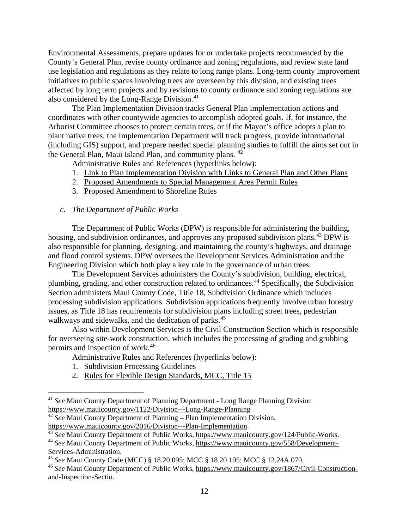Environmental Assessments, prepare updates for or undertake projects recommended by the County's General Plan, revise county ordinance and zoning regulations, and review state land use legislation and regulations as they relate to long range plans. Long-term county improvement initiatives to public spaces involving trees are overseen by this division, and existing trees affected by long term projects and by revisions to county ordinance and zoning regulations are also considered by the Long-Range Division.<sup>[41](#page-11-0)</sup>

The Plan Implementation Division tracks General Plan implementation actions and coordinates with other countywide agencies to accomplish adopted goals. If, for instance, the Arborist Committee chooses to protect certain trees, or if the Mayor's office adopts a plan to plant native trees, the Implementation Department will track progress, provide informational (including GIS) support, and prepare needed special planning studies to fulfill the aims set out in the General Plan, Maui Island Plan, and community plans. <sup>[42](#page-11-1)</sup>

Administrative Rules and References (hyperlinks below):

- 1. [Link to Plan Implementation Division with Links to General Plan and Other Plans](https://www.mauicounty.gov/2016/Division---Plan-Implementation)
- 2. [Proposed Amendments to Special Management Area Permit Rules](https://www.mauicounty.gov/DocumentCenter/View/114238/SMA-Rules-for-MPC-2018)
- 3. [Proposed Amendment to Shoreline Rules](https://www.mauicounty.gov/DocumentCenter/View/114237/ShorelineRules-for-MPC-2018)

## *c. The Department of Public Works*

The Department of Public Works (DPW) is responsible for administering the building, housing, and subdivision ordinances, and approves any proposed subdivision plans.<sup>[43](#page-11-2)</sup> DPW is also responsible for planning, designing, and maintaining the county's highways, and drainage and flood control systems. DPW oversees the Development Services Administration and the Engineering Division which both play a key role in the governance of urban trees.

The Development Services administers the County's subdivision, building, electrical, plumbing, grading, and other construction related to ordinances.[44](#page-11-3) Specifically, the Subdivision Section administers Maui County Code, Title 18, Subdivision Ordinance which includes processing subdivision applications. Subdivision applications frequently involve urban forestry issues, as Title 18 has requirements for subdivision plans including street trees, pedestrian walkways and sidewalks, and the dedication of parks.<sup>[45](#page-11-4)</sup>

Also within Development Services is the Civil Construction Section which is responsible for overseeing site-work construction, which includes the processing of grading and grubbing permits and inspection of work.[46](#page-11-5)

Administrative Rules and References (hyperlinks below):

- 1. [Subdivision Processing Guidelines](https://www.mauicounty.gov/DocumentView.asp?DID=4424)
- 2. [Rules for Flexible Design Standards, MCC, Title 15](https://www.mauicounty.gov/DocumentView.asp?DID=4425)

<span id="page-11-0"></span> <sup>41</sup> *See* Maui County Department of Planning Department - Long Range Planning Division <https://www.mauicounty.gov/1122/Division---Long-Range-Planning>

<span id="page-11-1"></span><sup>&</sup>lt;sup>42</sup> *See* Maui County Department of Planning – Plan Implementation Division,

<span id="page-11-2"></span>[https://www.mauicounty.gov/2016/Division---Plan-Implementation.](https://www.mauicounty.gov/2016/Division---Plan-Implementation) 43 *See* Maui County Department of Public Works, [https://www.mauicounty.gov/124/Public-Works.](https://www.mauicounty.gov/124/Public-Works)

<span id="page-11-3"></span><sup>44</sup> *See* Maui County Department of Public Works, [https://www.mauicounty.gov/558/Development-](https://www.mauicounty.gov/558/Development-Services-Administration)[Services-Administration.](https://www.mauicounty.gov/558/Development-Services-Administration)

<span id="page-11-4"></span><sup>45</sup> *See* Maui County Code (MCC) § 18.20.095; MCC § 18.20.105; MCC § 12.24A.070.

<span id="page-11-5"></span><sup>46</sup> *See* Maui County Department of Public Works, [https://www.mauicounty.gov/1867/Civil-Construction](https://www.mauicounty.gov/1867/Civil-Construction-and-Inspection-Sectio)[and-Inspection-Sectio.](https://www.mauicounty.gov/1867/Civil-Construction-and-Inspection-Sectio)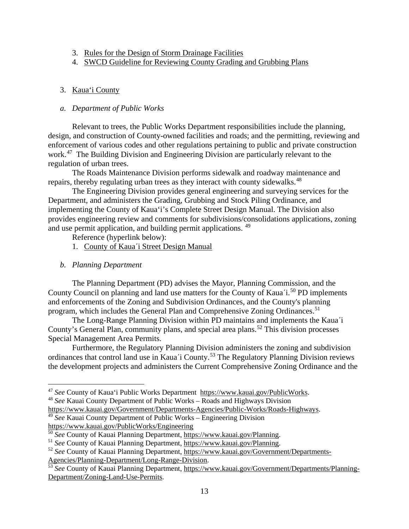- 3. [Rules for the Design of Storm Drainage Facilities](https://www.mauicounty.gov/DocumentCenter/View/82347)
- 4. [SWCD Guideline for Reviewing County Grading and Grubbing Plans](https://www.mauicounty.gov/DocumentCenter/View/115916/SWCD-Guideline-for-Reviewing-County-Grading-and-Grubbing-Plans-rev-040417?bidId=)

## <span id="page-12-0"></span>3. Kaua'i County

## *a. Department of Public Works*

Relevant to trees, the Public Works Department responsibilities include the planning, design, and construction of County-owned facilities and roads; and the permitting, reviewing and enforcement of various codes and other regulations pertaining to public and private construction work. [47](#page-12-1) The Building Division and Engineering Division are particularly relevant to the regulation of urban trees.

The Roads Maintenance Division performs sidewalk and roadway maintenance and repairs, thereby regulating urban trees as they interact with county sidewalks.<sup>[48](#page-12-2)</sup>

The Engineering Division provides general engineering and surveying services for the Department, and administers the Grading, Grubbing and Stock Piling Ordinance, and implementing the County of Kaua'i's Complete Street Design Manual. The Division also provides engineering review and comments for subdivisions/consolidations applications, zoning and use permit application, and building permit applications. [49](#page-12-3)

Reference (hyperlink below):

- 1. County of Kaua´[i Street Design Manual](https://www.kauai.gov/Portals/0/PW_Eng/CoK%20Street%20Design%20Manual_2018%20FINAL.pdf?ver=2018-10-31-145726-607)
- *b. Planning Department*

The Planning Department (PD) advises the Mayor, Planning Commission, and the County Council on planning and land use matters for the County of Kaua'i.<sup>[50](#page-12-4)</sup> PD implements and enforcements of the Zoning and Subdivision Ordinances, and the County's planning program, which includes the General Plan and Comprehensive Zoning Ordinances.<sup>[51](#page-12-5)</sup>

The Long-Range Planning Division within PD maintains and implements the Kaua´i County's General Plan, community plans, and special area plans. [52](#page-12-6) This division processes Special Management Area Permits.

Furthermore, the Regulatory Planning Division administers the zoning and subdivision ordinances that control land use in Kaua´i County.[53](#page-12-7) The Regulatory Planning Division reviews the development projects and administers the Current Comprehensive Zoning Ordinance and the

<span id="page-12-3"></span><sup>49</sup> See Kauai County Department of Public Works – Engineering Division

[Agencies/Planning-Department/Long-Range-Division.](https://www.kauai.gov/Government/Departments-Agencies/Planning-Department/Long-Range-Division)

<span id="page-12-2"></span><span id="page-12-1"></span><sup>&</sup>lt;sup>47</sup> *See* County of Kaua'i Public Works Department [https://www.kauai.gov/PublicWorks.](https://www.kauai.gov/PublicWorks)<br><sup>48</sup> *See* Kauai County Department of Public Works – Roads and Highways Division<br>https://www.kauai.gov/Government/Departments-Agencies/

<https://www.kauai.gov/PublicWorks/Engineering>

<span id="page-12-4"></span><sup>50</sup> *See* County of Kauai Planning Department, [https://www.kauai.gov/Planning.](https://www.kauai.gov/Planning)

<span id="page-12-5"></span><sup>&</sup>lt;sup>51</sup> *See* County of Kauai Planning Department, [https://www.kauai.gov/Planning.](https://www.kauai.gov/Planning)<br><sup>52</sup> *See* County of Kauai Planning Department, [https://www.kauai.gov/Government/Departments-](https://www.kauai.gov/Government/Departments-Agencies/Planning-Department/Long-Range-Division)

<span id="page-12-6"></span>

<span id="page-12-7"></span><sup>53</sup> *See* County of Kauai Planning Department, [https://www.kauai.gov/Government/Departments/Planning-](https://www.kauai.gov/Government/Departments/Planning-Department/Zoning-Land-Use-Permits)[Department/Zoning-Land-Use-Permits.](https://www.kauai.gov/Government/Departments/Planning-Department/Zoning-Land-Use-Permits)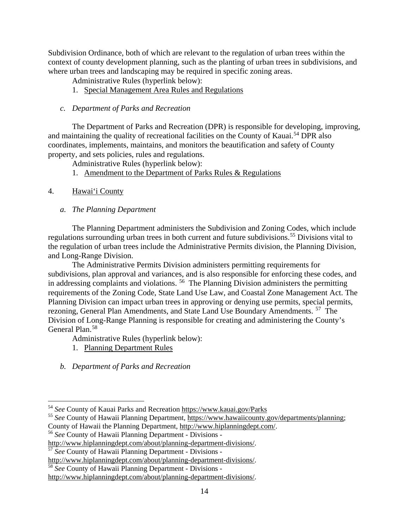Subdivision Ordinance, both of which are relevant to the regulation of urban trees within the context of county development planning, such as the planting of urban trees in subdivisions, and where urban trees and landscaping may be required in specific zoning areas.

- Administrative Rules (hyperlink below):
- 1. [Special Management Area Rules and Regulations](https://www.kauai.gov/Portals/0/Planning/SMA_RulesandRegulations_2011.pdf?ver=2017-07-06-142414-370)
- *c. Department of Parks and Recreation*

The Department of Parks and Recreation (DPR) is responsible for developing, improving, and maintaining the quality of recreational facilities on the County of Kauai.<sup>[54](#page-13-1)</sup> DPR also coordinates, implements, maintains, and monitors the beautification and safety of County property, and sets policies, rules and regulations.

Administrative Rules (hyperlink below):

- 1. [Amendment](https://www.kauai.gov/Portals/0/Parks_Recreation/2016-03-15_AdoptedAmendedSurf-SUP_RulesAndRegulations.pdf?ver=2016-03-16-085528-260) to the Department of Parks Rules & Regulations
- <span id="page-13-0"></span>4. Hawai'i County
	- *a. The Planning Department*

The Planning Department administers the Subdivision and Zoning Codes, which include regulations surrounding urban trees in both current and future subdivisions.<sup>[55](#page-13-2)</sup> Divisions vital to the regulation of urban trees include the Administrative Permits division, the Planning Division, and Long-Range Division.

The Administrative Permits Division administers permitting requirements for subdivisions, plan approval and variances, and is also responsible for enforcing these codes, and in addressing complaints and violations. [56](#page-13-3) The Planning Division administers the permitting requirements of the Zoning Code, State Land Use Law, and Coastal Zone Management Act. The Planning Division can impact urban trees in approving or denying use permits, special permits, rezoning, General Plan Amendments, and State Land Use Boundary Amendments. [57](#page-13-4) The Division of Long-Range Planning is responsible for creating and administering the County's General Plan.<sup>[58](#page-13-5)</sup>

- Administrative Rules (hyperlink below):
- 1. [Planning Department Rules](http://records.co.hawaii.hi.us/weblink/Browse.aspx?dbid=1&startid=56244)
- *b. Department of Parks and Recreation*

<span id="page-13-2"></span><sup>55</sup> *See* County of Hawaii Planning Department, [https://www.hawaiicounty.gov/departments/planning;](https://www.hawaiicounty.gov/departments/planning) County of Hawaii the Planning Department, [http://www.hiplanningdept.com/.](http://www.hiplanningdept.com/)

<span id="page-13-1"></span> <sup>54</sup> *See* County of Kauai Parks and Recreation<https://www.kauai.gov/Parks>

<span id="page-13-3"></span><sup>56</sup> *See* County of Hawaii Planning Department - Divisions -

[http://www.hiplanningdept.com/about/planning-department-divisions/.](http://www.hiplanningdept.com/about/planning-department-divisions/)<br><sup>57</sup> *See* County of Hawaii Planning Department - Divisions -<br>http://www.hiplanningdept.com/about/planning-department-divisions/.

<span id="page-13-4"></span>

<span id="page-13-5"></span><sup>&</sup>lt;sup>58</sup> See County of Hawaii Planning Department - Divisions -

[http://www.hiplanningdept.com/about/planning-department-divisions/.](http://www.hiplanningdept.com/about/planning-department-divisions/)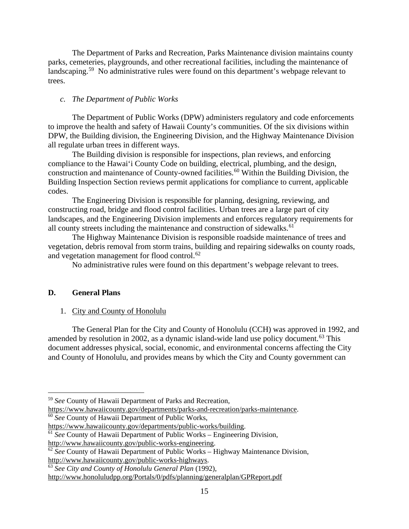The Department of Parks and Recreation, Parks Maintenance division maintains county parks, cemeteries, playgrounds, and other recreational facilities, including the maintenance of landscaping.<sup>59</sup> No administrative rules were found on this department's webpage relevant to trees.

#### *c. The Department of Public Works*

The Department of Public Works (DPW) administers regulatory and code enforcements to improve the health and safety of Hawaii County's communities. Of the six divisions within DPW, the Building division, the Engineering Division, and the Highway Maintenance Division all regulate urban trees in different ways.

The Building division is responsible for inspections, plan reviews, and enforcing compliance to the Hawai'i County Code on building, electrical, plumbing, and the design, construction and maintenance of County-owned facilities.<sup>[60](#page-14-3)</sup> Within the Building Division, the Building Inspection Section reviews permit applications for compliance to current, applicable codes.

The Engineering Division is responsible for planning, designing, reviewing, and constructing road, bridge and flood control facilities. Urban trees are a large part of city landscapes, and the Engineering Division implements and enforces regulatory requirements for all county streets including the maintenance and construction of sidewalks. $61$ 

The Highway Maintenance Division is responsible roadside maintenance of trees and vegetation, debris removal from storm trains, building and repairing sidewalks on county roads, and vegetation management for flood control.<sup>[62](#page-14-5)</sup>

No administrative rules were found on this department's webpage relevant to trees.

## <span id="page-14-0"></span>**D. General Plans**

## <span id="page-14-1"></span>1. City and County of Honolulu

The General Plan for the City and County of Honolulu (CCH) was approved in 1992, and amended by resolution in 2002, as a dynamic island-wide land use policy document.<sup>[63](#page-14-6)</sup> This document addresses physical, social, economic, and environmental concerns affecting the City and County of Honolulu, and provides means by which the City and County government can

<span id="page-14-2"></span> <sup>59</sup> *See* County of Hawaii Department of Parks and Recreation,

<span id="page-14-3"></span>[https://www.hawaiicounty.gov/departments/parks-and-recreation/parks-maintenance.](https://www.hawaiicounty.gov/departments/parks-and-recreation/parks-maintenance) 60 *See* County of Hawaii Department of Public Works,

[https://www.hawaiicounty.gov/departments/public-works/building.](https://www.hawaiicounty.gov/departments/public-works/building)

<sup>61</sup> *See* County of Hawaii Department of Public Works – Engineering Division,

<span id="page-14-5"></span><span id="page-14-4"></span>[http://www.hawaiicounty.gov/public-works-engineering.](http://www.hawaiicounty.gov/public-works-engineering)<br><sup>62</sup> *See* County of Hawaii Department of Public Works – Highway Maintenance Division, http://www.hawaiicounty.gov/public-works-highways.

<span id="page-14-6"></span><sup>&</sup>lt;sup>63</sup> See City and County of Honolulu General Plan (1992),

<http://www.honoluludpp.org/Portals/0/pdfs/planning/generalplan/GPReport.pdf>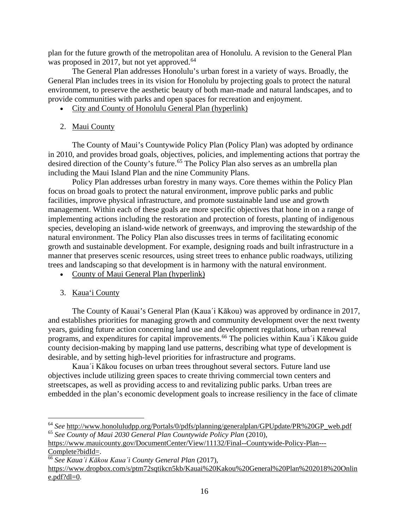plan for the future growth of the metropolitan area of Honolulu. A revision to the General Plan was proposed in 2017, but not yet approved.<sup>[64](#page-15-2)</sup>

The General Plan addresses Honolulu's urban forest in a variety of ways. Broadly, the General Plan includes trees in its vision for Honolulu by projecting goals to protect the natural environment, to preserve the aesthetic beauty of both man-made and natural landscapes, and to provide communities with parks and open spaces for recreation and enjoyment.

- [City and County of Honolulu General Plan](http://www.honoluludpp.org/Portals/0/pdfs/planning/generalplan/GPReport.pdf) (hyperlink)
- <span id="page-15-0"></span>2. Maui County

The County of Maui's Countywide Policy Plan (Policy Plan) was adopted by ordinance in 2010, and provides broad goals, objectives, policies, and implementing actions that portray the desired direction of the County's future.<sup>[65](#page-15-3)</sup> The Policy Plan also serves as an umbrella plan including the Maui Island Plan and the nine Community Plans.

Policy Plan addresses urban forestry in many ways. Core themes within the Policy Plan focus on broad goals to protect the natural environment, improve public parks and public facilities, improve physical infrastructure, and promote sustainable land use and growth management. Within each of these goals are more specific objectives that hone in on a range of implementing actions including the restoration and protection of forests, planting of indigenous species, developing an island-wide network of greenways, and improving the stewardship of the natural environment. The Policy Plan also discusses trees in terms of facilitating economic growth and sustainable development. For example, designing roads and built infrastructure in a manner that preserves scenic resources, using street trees to enhance public roadways, utilizing trees and landscaping so that development is in harmony with the natural environment.

- [County of Maui General Plan](https://www.mauicounty.gov/DocumentCenter/View/11132/Final--Countywide-Policy-Plan---Complete?bidId=) (hyperlink)
- <span id="page-15-1"></span>3. Kaua'i County

The County of Kauai's General Plan (Kaua´i Kākou) was approved by ordinance in 2017, and establishes priorities for managing growth and community development over the next twenty years, guiding future action concerning land use and development regulations, urban renewal programs, and expenditures for capital improvements.[66](#page-15-4) The policies within Kaua´i Kākou guide county decision-making by mapping land use patterns, describing what type of development is desirable, and by setting high-level priorities for infrastructure and programs.

Kaua´i Kākou focuses on urban trees throughout several sectors. Future land use objectives include utilizing green spaces to create thriving commercial town centers and streetscapes, as well as providing access to and revitalizing public parks. Urban trees are embedded in the plan's economic development goals to increase resiliency in the face of climate

<span id="page-15-3"></span><span id="page-15-2"></span> <sup>64</sup> *See* [http://www.honoluludpp.org/Portals/0/pdfs/planning/generalplan/GPUpdate/PR%20GP\\_web.pdf](http://www.honoluludpp.org/Portals/0/pdfs/planning/generalplan/GPUpdate/PR%20GP_web.pdf) <sup>65</sup> *See County of Maui 2030 General Plan Countywide Policy Plan* (2010),

[https://www.mauicounty.gov/DocumentCenter/View/11132/Final--Countywide-Policy-Plan---](https://www.mauicounty.gov/DocumentCenter/View/11132/Final--Countywide-Policy-Plan---Complete?bidId=) [Complete?bidId=.](https://www.mauicounty.gov/DocumentCenter/View/11132/Final--Countywide-Policy-Plan---Complete?bidId=)

<span id="page-15-4"></span><sup>66</sup> *See Kaua´i Kākou Kaua´i County General Plan* (2017),

[https://www.dropbox.com/s/ptm72sqtikcn5kb/Kauai%20Kakou%20General%20Plan%202018%20Onlin](https://www.dropbox.com/s/ptm72sqtikcn5kb/Kauai%20Kakou%20General%20Plan%202018%20Online.pdf?dl=0)  $e.pdf?dl=0.$